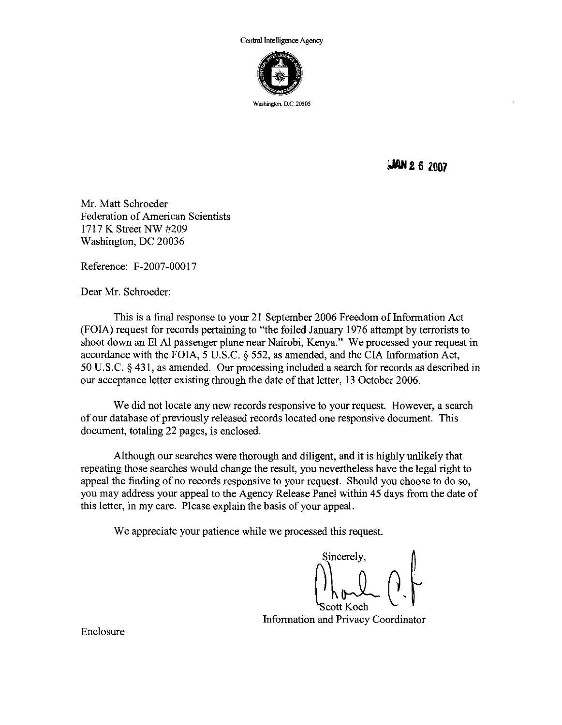Central Intelligence Agency



**\JAN! 6 2007** 

Mr. Matt Schroeder Federation of American Scientists 1717 K Street NW #209 Washington, DC 20036

Reference: F-2007-00017

Dear Mr. Schroeder:

This is a final response to your 21 September 2006 Freedom of Information Act (FOIA) request for records pertaining to "the foiled January 1976 attempt by terrorists to shoot down an El Al passenger plane near Nairobi, Kenya." We processed your request in accordance with the FOIA, 5 U.S.C.  $\S$  552, as amended, and the CIA Information Act, 50 U.S.C. § 431, as amended. Our processing included a search for records as described in our acceptance letter existing through the date of that letter, 13 October 2006.

We did not locate any new records responsive to your request. However, a search of our database of previously released records located one responsive document. This document, totaling 22 pages, is enclosed.

Although our searches were thorough and diligent, and it is highly unlikely that repeating those searches would change the result, you nevertheless have the legal right to appeal the finding of no records responsive to your request. Should you choose to do so, you may address your appeal to the Agency Release Panel within 45 days from the date of this letter, in my care. Please explain the basis of your appeal.

We appreciate your patience while we processed this request.

Sincerely, cott Koch

Information and Privacy Coordinator

Enclosure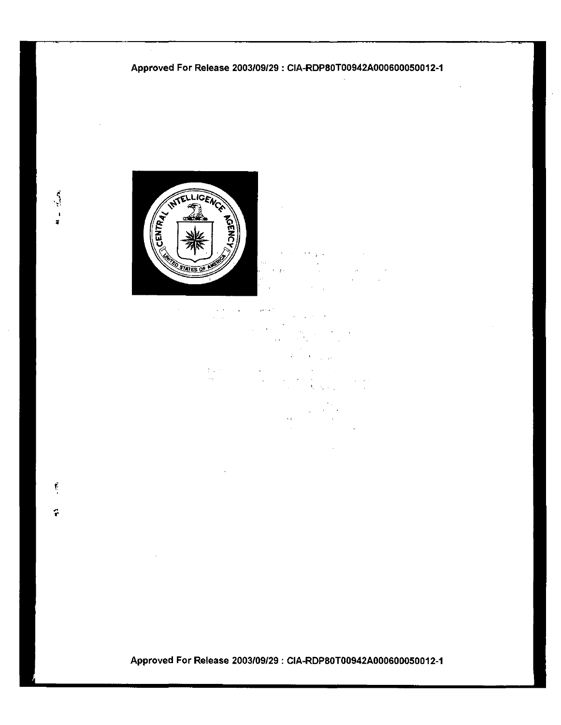

 $\bullet - \frac{1}{2}$ 

 $\mathfrak{t}$ 

 $\tilde{\mathbf{r}}$ 

 $\mathcal{A}=\mathcal{A}$  .  $\sim$  $\mathcal{L}_{\text{tot}}$  $\lambda = \gamma \lambda$  .  $\ddot{\phantom{a}}$   $\mathbb{R}^2$ 

 $\sim$   $\sim$  $\sim 10^{-1}$  $\sim$  $\mathcal{L}_{\rm{max}}$  $\mathbb{R}^2$  $\mathbb{R}^2$  $\mathcal{L}_{\mathcal{A}}$ 

 $\mathcal{O}(10^6)$  $\omega_{\rm E}$  .  $\mathbf{V}$  $\mathbb{F}_2$  . Then

> $\bar{\alpha}$  $\mathcal{A}$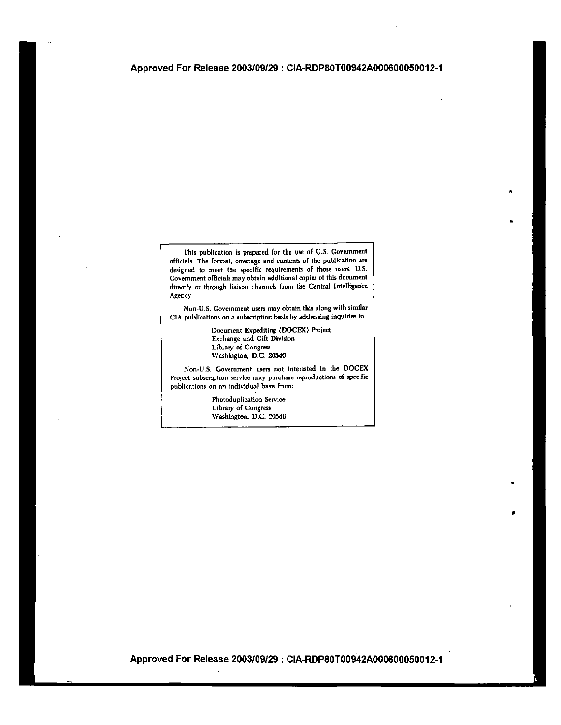•

•

•

This publication is prepared for the use of U.S. Government officials. The format, coverage and contents of the publication are designed to meet the specific requirements of those users. U.S. Government officials may obtain additional copies of this document directly or through liaison channels from the Central Intelligence Agency.

Non-U.S. Government users may obtain this along with similar CIA publications on a subscription basis by addressing inquiries to:

> Document Expediting (DOCEX) Project Exchange and Gift Division Library of Congress Washington, D.C. 20540

Non-U.S. Government users not Interested in the DOCEX Project subscription service may purchase reproductions of specific publications on an individual basis from:

> Photoduplication Service Library of Congress Washington. D,C. 20540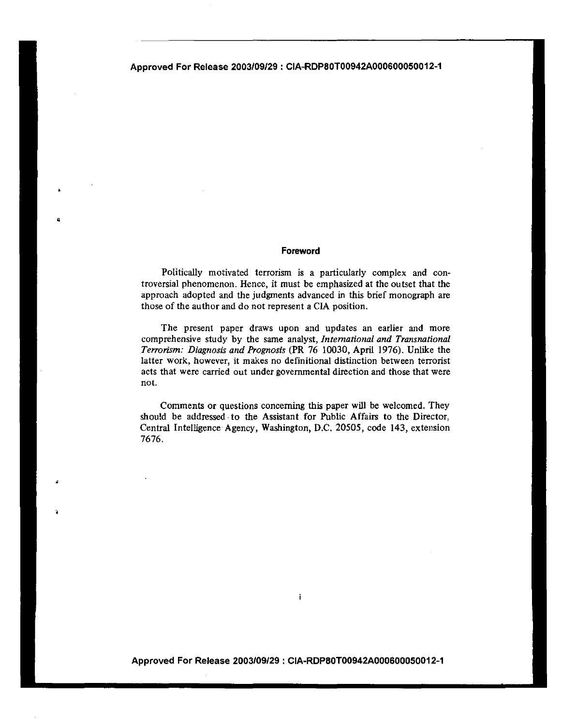#### **Foreword**

Politically motivated terrorism is a particularly complex and controversial phenomenon. Hence, it must be emphasized at the outset that the approach adopted and the judgments advanced in this brief monograph are those of the author and do not represent a CIA position.

The present paper draws upon and updates an earlier and more comprehensive study by the same analyst, *International and Transnational Terrorism: Diagnosis and Prognosis* (PR 76 10030, April 1976). Unlike the latter work, however, it makes no definitional distinction between terrorist acts that were carried out under governmental direction and those that were not.

Comments or questions concerning this paper will be welcomed. They should be addressed· to the Assistant for Public Affairs to the Director, Central Intelligence Agency, Washington, D.C. 20505, code 143, extension 7676.

•

**Approved For Release 2003/09/29: CIA-RDP80T00942A000600050012-1** 

j.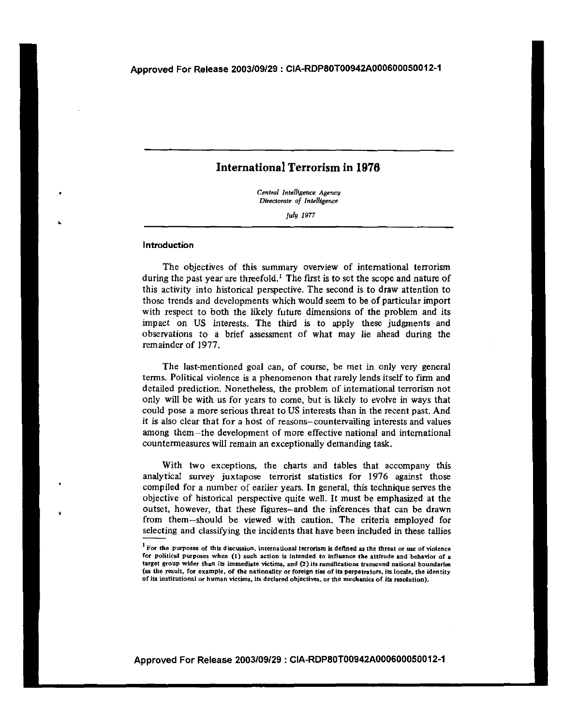# **International Terrorism in 1976**

*Cent,al intelligence Agency Directorate of Intelligence* 

*July 1977* 

#### **Introduction**

•

•

The objectives of this summary overview of international terrorism during the past year are threefold.<sup>1</sup> The first is to set the scope and nature of this activity into historical perspective. The second is to draw attention to those trends and developments which would seem to be of particular import with respect to both the likely future dimensions of the problem and its impact on US interests. The third is to apply these judgments and observations to a brief assessment of what may lie ahead during the remainder of 1977.

The last-mentioned goal can, of course, be met in only very general terms. Political violence is a phenomenon that rarely lends itself to firm and detailed prediction. Nonetheless, the problem of international terrorism not only will be with us for years to come, but is likely to evolve in ways that could pose a more serious threat to US interests than in the recent past. And it is also clear that for a host of reasons-countervailing interests and values among them-the development of more effective national and international countermeasures will remain an exceptionally demanding task.

With two exceptions, the charts and tables that accompany this analytical survey juxtapose terrorist statistics for 1976 against those compiled for a number of earlier years. In general, this technique serves the objective of historical perspective quite well. It must be emphasized at the outset, however, that these figures-and the inferences that can be drawn from them-should be viewed with caution. The criteria employed for selecting and classifying the incidents that have been included in these tallies

**<sup>1</sup> For the purposes of this discussion, international terrorism Is defined as the threat or use of violence for political purposes when (1) such action is intended to influence tbe attitude and behavior of a target group wider than its immediate victims. and (2) its ramifications transcend national boundaries**  (as the result, for example, of the nationality or foreign ties of its perpetrators, its locale, the identity **of its institutional or human victims. its declared objectives, or the mechanics of its resolution).**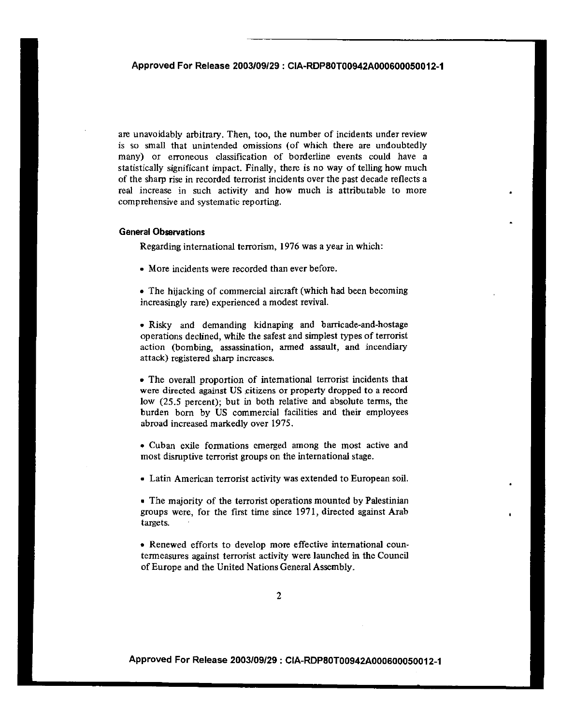are unavoidably arbitrary. Then, too, the number of incidents under review is so small that unintended omissions (of which there are undoubtedly many) or erroneous classification of borderline events could have a statistically significant impact. Finally, there is no way of telling how much of the sharp rise in recorded terrorist incidents over the past decade reflects a real increase in such activity and how much is attributable to more comprehensive and systematic reporting.

•

#### **General Observations**

Regarding international terrorism, 1976 was a year in which:

• More incidents were recorded than ever before.

• The hijacking of commercial aircraft (which had been becoming increasingly rare) experienced a modest revival.

• Risky and demanding kidnaping and barricade-and-hostage operations declined, while the safest and simplest types of terrorist action (bombing, assassination, armed assault, and incendiary attack) registered sharp increases.

• The overall proportion of international terrorist incidents that were directed against US citizens or property dropped to a record low (25.5 percent); but in both relative and absolute terms, the burden born by US commercial facilities and their employees abroad increased markedly over 1975.

• Cuban exile formations emerged among the most active and most disruptive terrorist groups on the international stage.

• Latin American terrorist activity was extended to European soil.

• The majority of the terrorist operations mounted by Palestinian groups were, for the first time since 1971, directed against Arab targets.

• Renewed efforts to develop more effective international countermeasures against terrorist activity were launched in the Council of Europe and the United Nations General Assembly.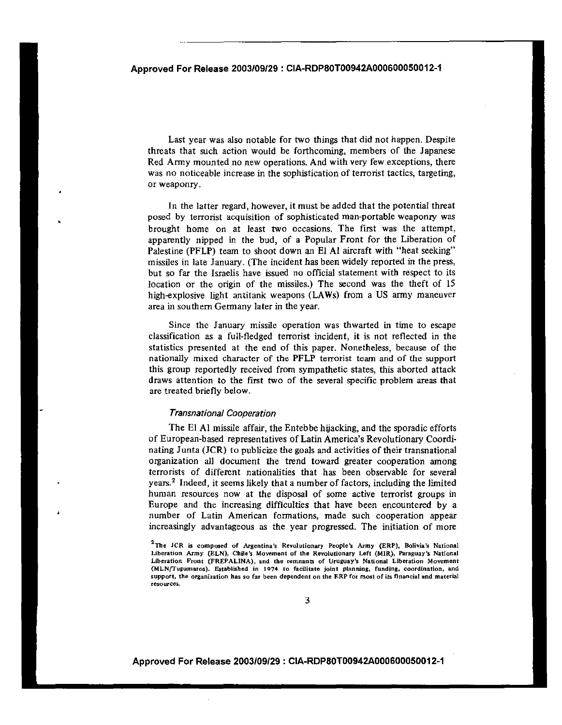Last year was also notable for two things that did not happen. Despite threats that such action would be forthcoming, members of the Japanese Red Army mounted no new operations. And with very few exceptions, there was no noticeable increase in the sophistication of terrorist tactics, targeting, **or weaponry.** 

In the latter regard, however, it must be added that the potential threat posed by terrorist acquisition of sophisticated man-portable weaponry was brought home on at least two occasions. The first was the attempt, apparently nipped in the bud, of a Popular Front for the Liberation of Palestine (PFLP) team to shoot down an EI Al aircraft with "heat seeking" missiles in late January. (The incident has been widely reported in the press, but so far the Israelis have issued no official statement with respect to its location or the origin of the missiles.) The second was the theft of 15 high-explosive light antitank weapons (LAWs) from a US army maneuver area in southern Germany later in the year.

Since the January missile operation was thwarted in time to escape classification as a full-fledged terrorist incident, it is not reflected in the statistics presented at the end of this paper. Nonetheless, because of the nationally mixed character of the PFLP terrorist team and of the support this group reportedly received from sympathetic states, this aborted attack draws attention to the first two of the several specific problem areas that are treated briefly below.

#### *Transnational Cooperation*

The El Al missile affair, the Entebbe hijacking, and the sporadic efforts of European-based representatives of Latin America's Revolutionary Coordinating Junta (JCR) to publicize the goals and activities of their transnational organization all document the trend toward greater cooperation among terrorists of different nationalities that has been observable for several years.<sup>2</sup> Indeed, it seems likely that a number of factors, including the limited human resources now at the disposal of some active terrorist groups in Europe and the increasing difficulties that have been encountered by a number of Latin American formations, made such cooperation appear increasingly advantageous as the year progressed. The initiation of more

**<sup>2</sup>The JCR is composed of Argentina's Revolutionary People's Army (ERP), Bolivia's National Liberation Army (ELN), Chile's Movement of the Revolutionary Left (MIR), Paraguay's National Liberation Front (FREPALINA). and the remnants of Uruguay's National Liberation Movement (MLN/Tupamaros). Established in 1974 to facilitate joint planning, funding, coordination, and supporl, the organization has so far been dependent on the RRP for most of its financial and material resources.**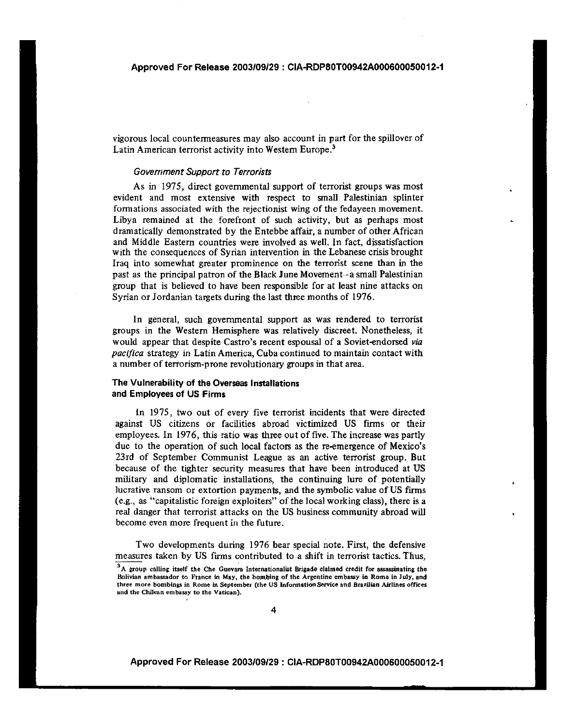vigorous local countenneasures may also account in part for the spillover of Latin American terrorist activity into Western Europe.<sup>3</sup>

#### *Government Support to Terrorists*

As in 1975, direct governmental support of terrorist groups was most evident and most extensive with respect to small Palestinian splinter fonnations associated with the rejectionist wing of the fedayeen movement. Libya remained at the forefront of such activity, but as perhaps most dramatically demonstrated by the Entebbe affair, a number of other African and Middle Eastern countries were involved as well. In fact, dissatisfaction with the consequences of Syrian intervention in the Lebanese crisis brought Iraq into somewhat greater prominence on the terrorist scene than in the past as the principal patron of the Black June Movement-a small Palestinian group that is believed to have been responsible for at least nine attacks on Syrian or Jordanian targets during the last three months of 1976.

In general, such governmental support as was rendered to terrorist groups in the Western Hemisphere was relatively discreet. Nonetheless, it would appear that despite Castro's recent espousal of a Soviet-endorsed *via pacifica* strategy in Latin America, Cuba continued to maintain contact with a number of terrorism-prone revolutionary groups in that area.

#### **The Vulnerability of the Overseas Installations and Employees of US Firms**

In 1975, two out of every five terrorist incidents that were directed against US citizens or facilities abroad victimized US finns or their employees. **In** 1976, this ratio was three out of five. The increase was partly due to the operation of such local factors as the re-emergence of Mexico's 23rd of September Communist League as an active terrorist group. But because of the tighter security measures that have been introduced at US military and diplomatic installations, tbe continuing lure of potentially lucrative ransom or extortion payments, and the symbolic value of US firms (e.g., as "capitalistic foreign exploiters" of the local working class), there is a real danger that terrorist attacks on the US business community abroad will become even more frequent in the future.

Two developments during 1976 bear special note. First, the defensive measures taken by US firms contributed to a shift in terrorist tactics. Thus,

<sup>&</sup>lt;sup>3</sup>A group calling itself the Che Guevara Internationalist Brigade claimed credit for assassinating the **Bolivian ambassador 10 France in May, the bombing of the Argentine embassy in Rome in July. and three more bombings in Rome in September (the US** Information Service **and Brazilian Airlines offices and the Chilean embassy to the Vatican),**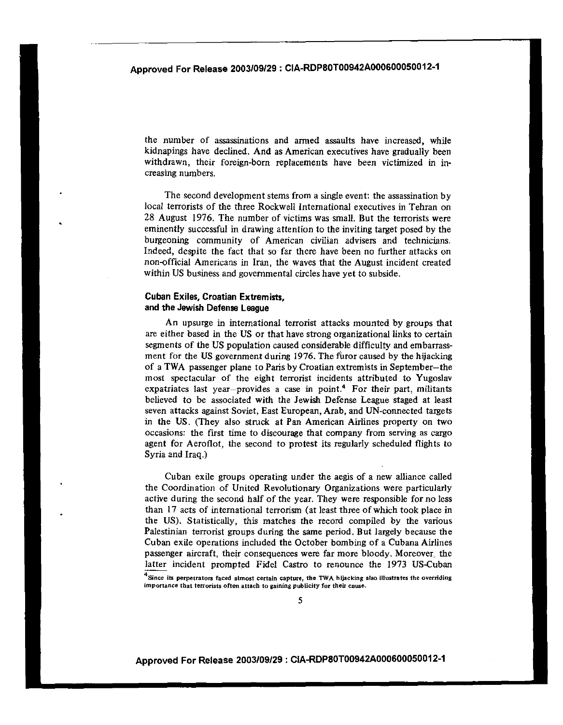the number of assassinations and armed assaults have increased, while kidnapings have declined. And as American executives have gradually been withdrawn, their foreign-born replacements have been victimized in increasing munbers.

The second development stems from a single event: the assassination by local terrorists of the three Rockwell International executives in Tehran on 28 August 1976. The number of victims was small. But the terrorists were eminently successful in drawing attention to the inviting target posed by the burgeoning community of American civilian advisers and technicians. Indeed, despite the fact that so far there have been no further attacks on non-official Americans in Iran, the waves that the August incident created within US business and governmental circles have yet to subside.

#### **Cuban Exiles,** Croatian **Extremists, and the Jewish Defense League**

An upsurge in international terrorist attacks mounted by groups that are either based in the US or that have strong organizational links to certain segments of the US population caused considerable difficulty and embarrassment for the US government during 1976. The furor caused by the hijacking of a TWA passenger plane to Paris by Croatian extremists in September-the most spectacular of the eight terrorist incidents attributed to Yugoslav expatriates last year-provides a case in point.<sup>4</sup> For their part, militants believed to be associated with the Jewish Defense League staged at least seven attacks against Soviet, East European, Arab, and UN-connected targets in the US. (They also struck at Pan American Airlines property on two occasions: the first time to discourage that company from serving as cargo agent for Aerofiot, the second to protest its regularly scheduled flights to Syria and Iraq.)

Cuban exile groups operating under the aegis of a new alliance called the Coordination of United Revolutionary Organizations were particularly active during the second half of the year. They were responsible for no less than 17 acts of international terrorism (at least three of which took place in the US). Statistically, this matches the record compiled by the various Palestinian terrorist groups during the same period. But largely because the Cuban exile operations included the October bombing of a Cubana Airlines passenger aircraft, their consequences were far more bloody. Moreover, the latter incident prompted Fidel Castro to renounce the 1973 US-Cuban **4Since its perpetrators faced almost certain capture, the TWA hijacking also iUustrates the overriding** 

**importance that terrorists often attach to gaining publicity for their cause.** 

5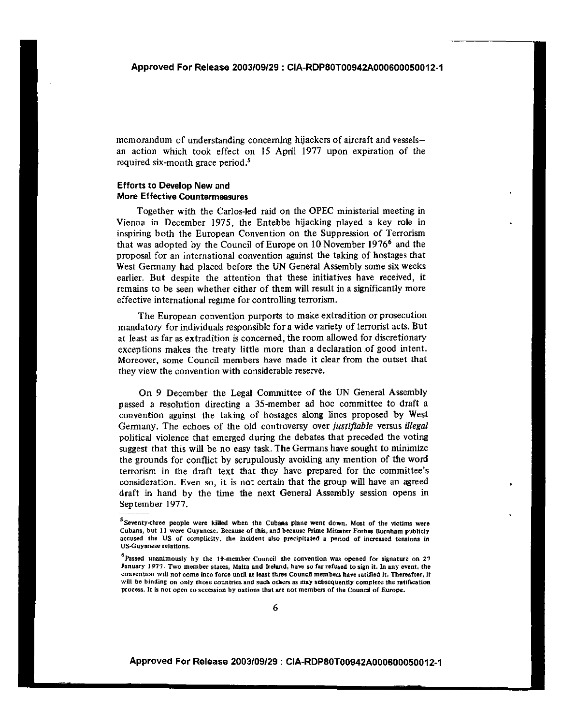memorandum of understanding concerning hijackers of aircraft and vesselsan action which took effect on 15 April 1977 upon expiration of the required six-month grace period.'

#### **Efforts to Develop New and More Effective Countermeasures**

Together with the Carlos-led raid on the OPEC ministerial meeting in Vienna in December 1975, the Entebbe hijacking played a key role in inspiring both the European Convention on the Suppression of Terrorism that was adopted by the Council of Europe on 10 November  $1976<sup>6</sup>$  and the proposal for an international convention against the taking of hostages that West Germany had placed before the UN General Assembly some six weeks earlier. But despite the attention that these initiatives have received, it remains to be seen whether either of them will result in a significantly more effective international regime for controlling terrorism.

The European convention purports to make extradition or prosecution mandatory for individuals responsible for a wide variety of terrorist acts. But at least as far as extradition is concerned, the room allowed for discretionary exceptions makes the treaty little more than a declaration of good intent. **Moreover. some Council members have made it clear from the outset that**  they view the convention with considerable reserve.

On 9 December the Legal Committee of the UN General Assembly passed a resolution directing a 35-member ad hoc committee to draft a convention against the taking of hostages along lines proposed by West Germany. The echoes of the old controversy over *justifiable* versus *illegal*  political violence that emerged during the debates that preceded the voting suggest that this will be no easy task. The Germans have sought to minimize the grounds for conflict by scrupulously avoiding any mention of the word terrorism in the draft text that they have prepared for the committee's consideration. Even so, it is not certain that the group will have an agreed draft in hand by the time the next General Assembly session opens in September 1977.

<sup>&</sup>lt;sup>5</sup> Seventy-three people were killed when the Cubana plane went down. Most of the victims were Cubans, but 11 were Guyanese. Because of this, and because Prime Minister Forbes Burnham publicly **accused the US of complicity. the incident also precipitated a period of increased tensions in US-Guyanese relations.** 

<sup>&</sup>lt;sup>6</sup> Passed unanimously by the 19-member Council the convention was opened for signature on 27 **January 1977. Two member states, Malta and Ireland, have so far refUsed to sign it. In any event, the convention will not come into force until at least three Council members have ratified it. Thereafter. it will be binding on only those countries and such others as may subsequently complete the ratification process. It is not open to accession by nations that are not members of the Council of Europe.**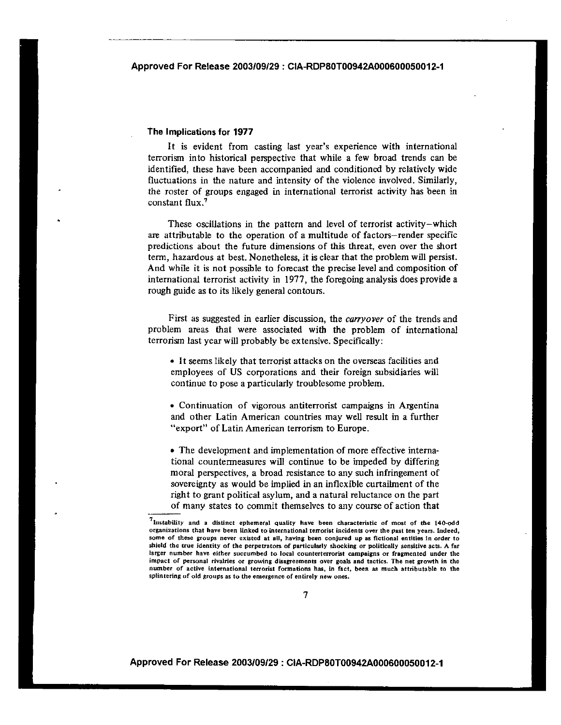#### **The Implications for 1977**

It is evident from casting last year's experience with international terrorism in to historical perspective that while a few broad trends can be identified, these have been accompanied and conditioned by relatively wide fluctuations in the nature and intensity of the violence involved. Similarly, the roster of groups engaged in international terrorist activity has been in constant flux.?

These oscillations in the pattern and level of terrorist activity-which are attributable to the operation of a multitude of factors-render specific predictions about the future dimensions of this threat, even over the short term, hazardous at best. Nonetheless, it is clear that the problem will persist. And while it is not possible to forecast the precise level and composition of international terrorist activity in 1977, the foregoing analysis does provide a rough guide as to its likely general contours.

First as suggested in earlier discussion, the *carryover* of the trends and problem areas that were associated with the problem of international terrorism last year will probably be extensive. Specifically:

• It seems likely that terrorist attacks on the overseas facilities and employees of US corporations and their foreign subsidiaries will continue to pose a particularly troublesome problem.

• Continuation of vigorous antiterrorist campaigns in Argentina and other Latin American countries may well result in a further **Hexport" of Latin American terrorism to Europe.** 

• The development and implementation of more effective intemational countermeasures will continue to be impeded by differing moral perspectives, a broad resistance to any such infringement of sovereignty as would be implied in an inflexible curtailment of the right to grant political asylum, and a natural reluctance on the part of many states to commit themselves to any course of action that

**<sup>&#</sup>x27;Instability and a distinct ephemeral quality have been characteristic of most of the 140·odd organi2ations that have been linked to international terrorist incidents over the past ten years. Indeed.**  some of these groups never existed at all, having been conjured up as fictional entities in order to **shield the true identity of the perpetrators of particularly shocking or politically sensitive acts. A far**  larger number have either succumbed to local counterterrorist campaigns or fragmented under the **impact of personal rivalries or growing disagreements over goals and tactics. The net growth in the number of active international terrorist formations has, in fact, been as much attributable to the splintering uf old groups as to the emergence of entirely new ones.**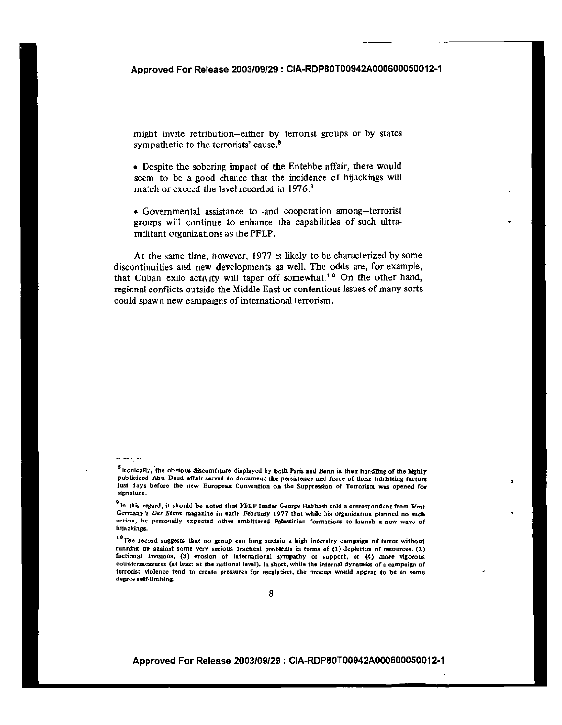might invite retribution-either by terrorist groups or by states sympathetic to the terrorists' cause.<sup>8</sup>

• Despite the sobering impact of the Entebbe affair, there would seem to be a good chance that the incidence of hijackings will match or exceed the level recorded in 1976.<sup>9</sup>

• Governmental assistance to-and cooperation among-terrorist groups will continue to enhance the capabilities of such ultramilitant organizations as the PFLP.

At the same time, however, 1977 is likely to be characterized by some discontinuities and new developments as well. The odds are, for example, that Cuban exile activity will taper off somewhat.<sup>10</sup> On the other hand, regional conflicts outside the Middle East or contentious issues of many sorts could spawn new campaigns of international terrorism.

<sup>&</sup>lt;sup>8</sup> Ironically, the obvious discomfiture displayed by both Paris and Bonn in their handling of the highly publicized Abu Daud affair served to document the persistence and force of these inhibiting factors just days before the new European Convention on the Suppression of Terrorism was opened for signature.

<sup>&</sup>lt;sup>9</sup> In this regard, it should be noted that PFLP leader George Habbash told a correspondent from West Germany's Der Stem magazine in early February 1977 that while his organization planned no such action, he personally expected other embittered Palestinian formations to launch a new wave of hijackings.

<sup>&</sup>lt;sup>10</sup>The record suggests that no group can long sustain a high intensity campaign of terror without running up against some very serious practical problems in terms of (1) depletion of resources, (2) factional divisions, (3) erosion of international sympathy or support, or (4) more vigorous countermeasures (at least at the national level). In short, while the internal dynamics of a campaign of terrorist violence tend to create pressures for escalation. the process would appear to be to some degree self-limiting.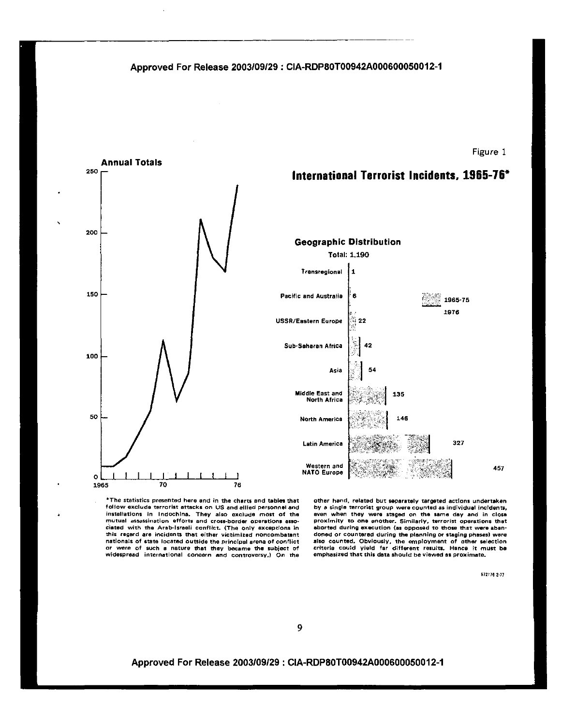

\*The statistics presented here and in the charts and tables that follow exclude terrorist attacks on US and allied personnel and installations in IndochIna. Thev also exclude most of the mutual assassination efforts and cross-border operations associated with the Arab-Israeli conflict. (The only exceptions in this regard are incidents that either victimized noncombatant nationals of state located outside the principal arena of conflict or were of such a nature that they became the subject of widespread international concern and controversy.) On the

other hand, related but separately targeted actions undertaken by a single terrorist group were counted as individual incidents, even when they were staged on the same day and in CIOSB proximity to one another. Similarly, terrorist operations that ahorted during execution (as opposed to those that were abandoned or countered during the planning or staging phases) were also counted. Obviously, the employment of other selection<br>criteria could yield far different results. Hence it must be emphasized that this data should be viewed as proximate\_

572!lG 2·17

9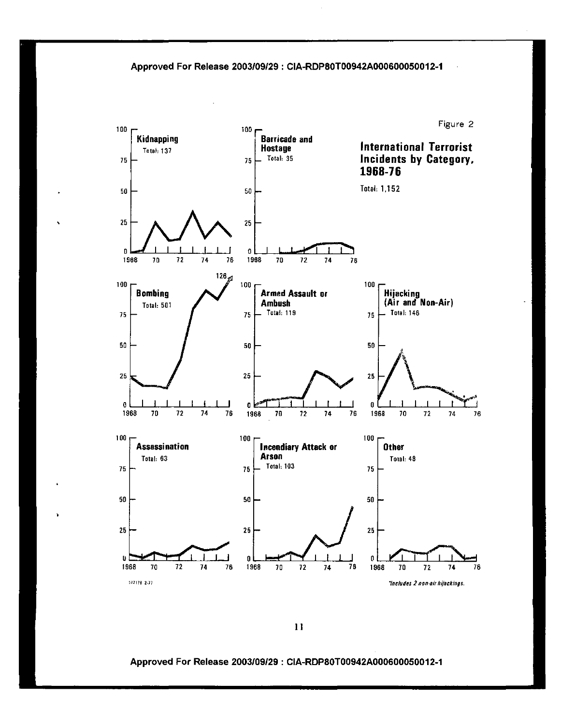

II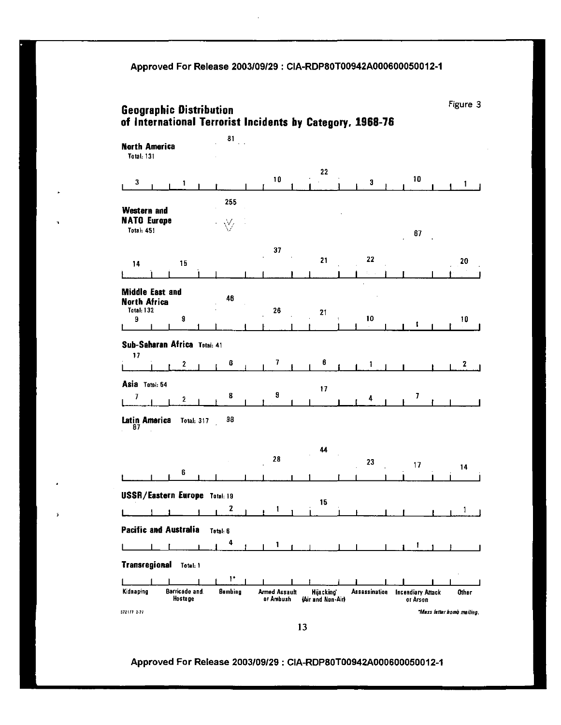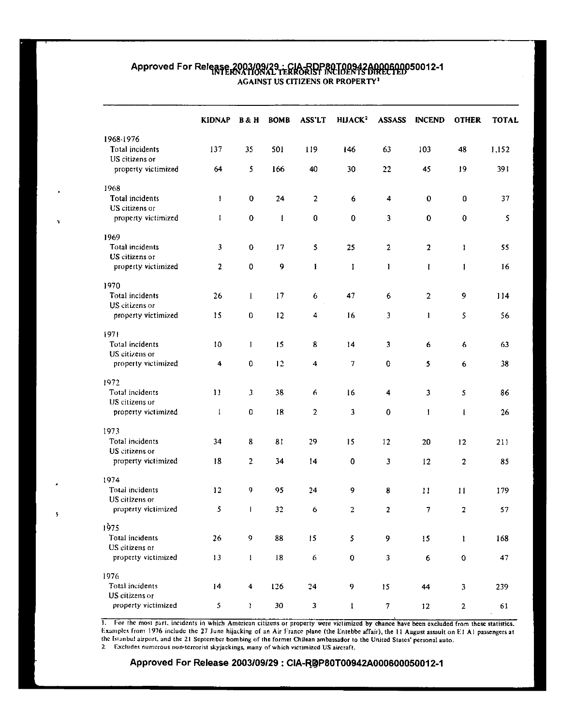# Approved For Release ZUU3JU3729 - CIA-RIJP80 TUU34ZAUUUbullU50012-1<br>INTERNATIONAL TERRORIST INCIDENTS DIRECTED AGAINST US CITIZENS OR PROPERTY'

|   |                                       | <b>KIDNAP</b> | <b>B&amp;H</b>       | <b>BOMB</b>  | ASS'LT                  | HIJACK <sup>2</sup> | <b>ASSASS</b>           | <b>INCEND</b>           | <b>OTHER</b>   | <b>TOTAL</b> |
|---|---------------------------------------|---------------|----------------------|--------------|-------------------------|---------------------|-------------------------|-------------------------|----------------|--------------|
|   | 1968-1976                             |               |                      |              |                         |                     |                         |                         |                |              |
|   | Total incidents                       | 137           | 35                   | 501          | 119                     | 146                 | 63                      | 103                     | 48             | 1,152        |
|   | US citizens or                        |               |                      |              |                         |                     |                         |                         |                |              |
|   | property victimized                   | 64            | 5                    | 166          | 40                      | 30                  | 22                      | 45                      | 19             | 391          |
| ٠ | 1968                                  |               |                      |              |                         |                     |                         |                         |                |              |
|   | Total incidents                       | $\mathbf{I}$  | 0                    | 24           | 2                       | 6                   | $\overline{\mathbf{4}}$ | $\mathbf 0$             | $\mathbf 0$    | 37           |
|   | US citizens or<br>property victimized | I             | 0                    |              | $\mathbf 0$             | $\mathbf 0$         | 3                       | $\pmb{0}$               | $\pmb{0}$      |              |
| ť |                                       |               |                      | $\mathbf{1}$ |                         |                     |                         |                         |                | 5            |
|   | 1969                                  |               |                      |              |                         |                     |                         |                         |                |              |
|   | Total incidents                       | 3             | 0                    | 17           | 5                       | 25                  | $\overline{c}$          | $\overline{\mathbf{c}}$ | I.             | 55           |
|   | US citizens or                        |               |                      |              |                         |                     |                         |                         |                |              |
|   | property victimized                   | 2             | 0                    | 9            | $\mathbf{I}$            | ı                   | $\mathbf{I}$            | Ł                       | -1             | 16           |
|   | 1970                                  |               |                      |              |                         |                     |                         |                         |                |              |
|   | Total incidents                       | 26            | $\mathbf{I}$         | 17           | 6                       | 47                  | 6                       | $\overline{2}$          | 9              | 114          |
|   | US citizens or                        |               |                      |              |                         |                     |                         |                         |                |              |
|   | property victimized                   | 15            | 0                    | 12           | 4                       | 16                  | 3                       | 1                       | 5              | 56           |
|   | 1971                                  |               |                      |              |                         |                     |                         |                         |                |              |
|   | Total incidents                       | 10            | $\mathbf{I}$         | 15           | 8                       | 14                  | 3                       | 6                       | 6              | 63           |
|   | US citizens or                        |               |                      |              |                         |                     |                         |                         |                |              |
|   | property victimized                   | 4             | 0                    | 12           | $\overline{\mathbf{4}}$ | $\overline{7}$      | $\pmb{0}$               | 5                       | 6              | 38           |
|   | 1972                                  |               |                      |              |                         |                     |                         |                         |                |              |
|   | Total incidents                       | 11            | 3                    | 38           | 6                       | 16                  | 4                       | 3                       | 5              | 86           |
|   | US citizens or                        |               |                      |              |                         |                     |                         |                         |                |              |
|   | property victimized                   | I             | 0                    | 18           | $\overline{2}$          | 3                   | $\mathbf 0$             | $\mathbf{1}$            | $\mathbf{1}$   | 26           |
|   | 1973                                  |               |                      |              |                         |                     |                         |                         |                |              |
|   | Total incidents                       | 34            | 8                    | 81           | 29                      | 15                  | 12                      | 20                      | 12             | 211          |
|   | US citizens or                        |               |                      |              |                         |                     |                         |                         |                |              |
|   | property victimized                   | 18            | 2                    | 34           | 14                      | $\mathbf 0$         | 3                       | 12                      | $\overline{c}$ | 85           |
|   | 1974                                  |               |                      |              |                         |                     |                         |                         |                |              |
|   | Total incidents                       | 12            | 9                    | 95           | 24                      | 9                   | ${\bf 8}$               | 11                      | 11             | 179          |
|   | US citizens or                        |               |                      |              |                         |                     |                         |                         |                |              |
|   | property victimized                   | 5             | $\mathbf{I}$         | 32           | 6                       | $\overline{a}$      | $\overline{\mathbf{2}}$ | $7\phantom{.0}$         | $\overline{2}$ | 57           |
|   | 1975                                  |               |                      |              |                         |                     |                         |                         |                |              |
|   | Total incidents                       | 26            | 9                    | 88           | 15                      | 5                   | 9                       | 15                      | $\mathbf{1}$   | 168          |
|   | US citizens or                        |               |                      |              |                         |                     |                         |                         |                |              |
|   | property victimized                   | 13            | $\mathbf{I}$         | $18\,$       | $\sqrt{6}$              | $\pmb{0}$           | $\overline{\mathbf{3}}$ | $6\phantom{.}6$         | $\pmb{0}$      | 47           |
|   | 1976                                  |               |                      |              |                         |                     |                         |                         |                |              |
|   | Total incidents                       | 14            | $\ddot{\phantom{1}}$ | 126          | 24                      | 9                   | 15                      | 44                      | $\mathbf 3$    | 239          |
|   | US citizens or                        |               |                      |              |                         |                     |                         |                         |                |              |
|   | property victimized                   | 5             | $\mathbf{1}$         | 30           | $\overline{\mathbf{3}}$ | $\mathbf{l}$        | $\pmb{\tau}$            | 12                      | $\overline{2}$ | 61           |

1. For the most part, incidents in which American citizens or property were victimized by chance have been excluded from these statistics. Examples from 1976 include the 27 June hijacking of an Air France plane (the Entebbe affair), the 11 August assault on E1 A1 passengers at the Istanbul airport, and the 21 September bombing of the former Chilean ambassador to the United States' personal auto. 2. Excludes numerous non-terrorist skyjackings, many of which victimized US aircraft.

#### Approved For Release 2003/09/29 : CIA-RGP80T00942A000600050012-1

 $\overline{\mathbf{5}}$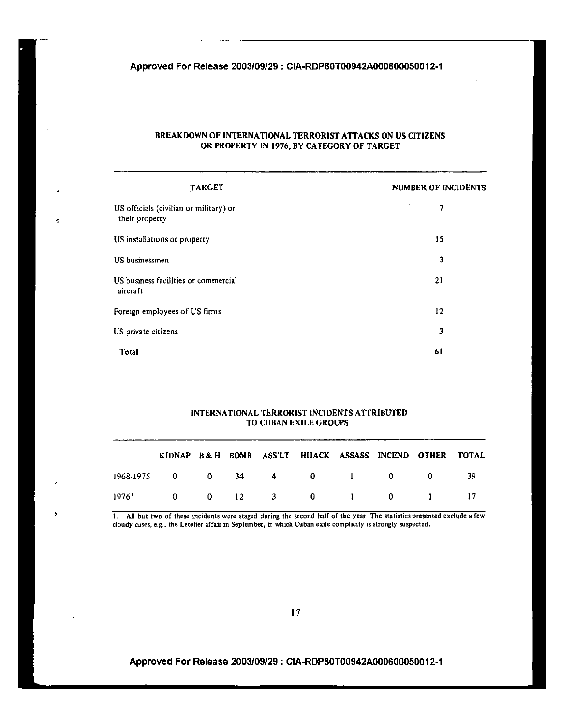# BREAKDOWN OF INTERNATIONAL TERRORIST ATTACKS ON US CITIZENS OR PROPERTY IN 1976, BY CATEGORY OF TARGET

| <b>TARGET</b>                                            | <b>NUMBER OF INCIDENTS</b> |
|----------------------------------------------------------|----------------------------|
| US officials (civilian or military) or<br>their property | 7                          |
| US installations or property                             | 15                         |
| US businessmen                                           | 3                          |
| US business facilities or commercial<br>aircraft         | 21                         |
| Foreign employees of US firms                            | 12                         |
| US private citizens                                      | 3                          |
| Total                                                    | 61                         |

 $\hat{\mathbf{r}}$ 

 $\overline{\mathbf{A}}$ 

#### INTERNATIONAL TERRORIST INCIDENTS ATTRIBUTED TO CUBAN EXILE GROUPS

|                               |  |  |  | KIDNAP B & H BOMB ASS'LT HIJACK ASSASS INCEND OTHER TOTAL |  |
|-------------------------------|--|--|--|-----------------------------------------------------------|--|
| 1968-1975 0 0 34 4 0 1 0 0 39 |  |  |  |                                                           |  |
| 1976 0 0 12 3 0 1 0 1 17      |  |  |  |                                                           |  |

1. All but two of these incidents were staged during the second half of the year. The statistics presented exclude a few cloudy cases, e.g., the Lctelier affair in September, in which Cuban exile complicity is strongly suspected.

17